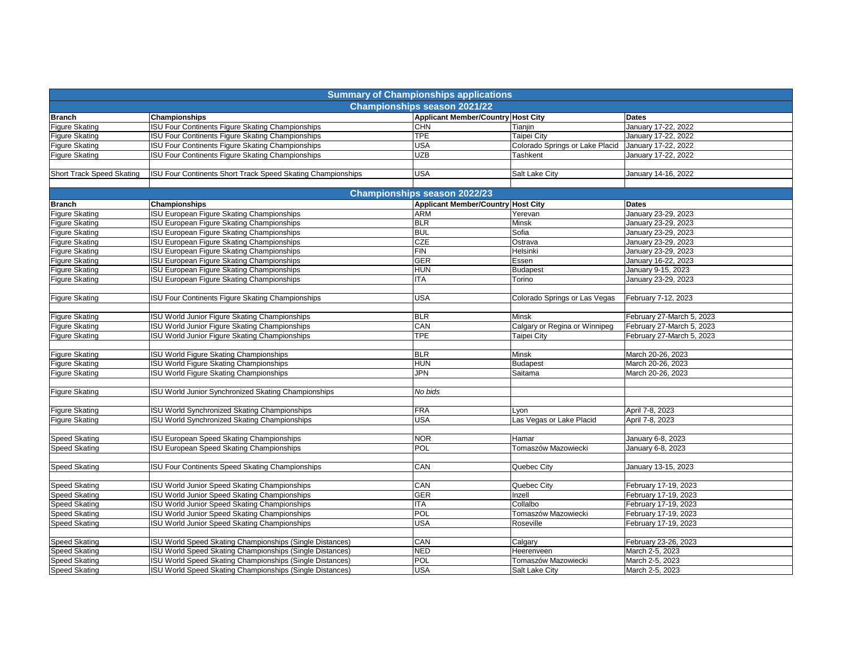| <b>Summary of Championships applications</b> |                                                             |                                           |                                 |                           |  |  |  |  |  |
|----------------------------------------------|-------------------------------------------------------------|-------------------------------------------|---------------------------------|---------------------------|--|--|--|--|--|
| <b>Championships season 2021/22</b>          |                                                             |                                           |                                 |                           |  |  |  |  |  |
| <b>Branch</b>                                | Championships                                               | <b>Applicant Member/Country Host City</b> |                                 | <b>Dates</b>              |  |  |  |  |  |
| <b>Figure Skating</b>                        | <b>ISU Four Continents Figure Skating Championships</b>     | <b>CHN</b>                                | Tianjin                         | January 17-22, 2022       |  |  |  |  |  |
| <b>Figure Skating</b>                        | <b>ISU Four Continents Figure Skating Championships</b>     | <b>TPE</b>                                | Taipei City                     | January 17-22, 2022       |  |  |  |  |  |
| <b>Figure Skating</b>                        | ISU Four Continents Figure Skating Championships            | <b>USA</b>                                | Colorado Springs or Lake Placid | January 17-22, 2022       |  |  |  |  |  |
| <b>Figure Skating</b>                        | <b>ISU Four Continents Figure Skating Championships</b>     | <b>UZB</b>                                | Tashkent                        | January 17-22, 2022       |  |  |  |  |  |
|                                              |                                                             |                                           |                                 |                           |  |  |  |  |  |
| <b>Short Track Speed Skating</b>             | ISU Four Continents Short Track Speed Skating Championships | <b>USA</b>                                | Salt Lake City                  | January 14-16, 2022       |  |  |  |  |  |
|                                              |                                                             |                                           |                                 |                           |  |  |  |  |  |
|                                              |                                                             | <b>Championships season 2022/23</b>       |                                 |                           |  |  |  |  |  |
| <b>Branch</b>                                | Championships                                               | <b>Applicant Member/Country Host City</b> |                                 | <b>Dates</b>              |  |  |  |  |  |
| <b>Figure Skating</b>                        | ISU European Figure Skating Championships                   | <b>ARM</b>                                | Yerevan                         | January 23-29, 2023       |  |  |  |  |  |
| <b>Figure Skating</b>                        | <b>ISU European Figure Skating Championships</b>            | <b>BLR</b>                                | Minsk                           | January 23-29, 2023       |  |  |  |  |  |
| <b>Figure Skating</b>                        | ISU European Figure Skating Championships                   | <b>BUL</b>                                | Sofia                           | January 23-29, 2023       |  |  |  |  |  |
| <b>Figure Skating</b>                        | ISU European Figure Skating Championships                   | <b>CZE</b>                                | Ostrava                         | January 23-29, 2023       |  |  |  |  |  |
| <b>Figure Skating</b>                        | <b>ISU European Figure Skating Championships</b>            | FIN                                       | Helsinki                        | January 23-29, 2023       |  |  |  |  |  |
| <b>Figure Skating</b>                        | ISU European Figure Skating Championships                   | GER                                       | Essen                           | January 16-22, 2023       |  |  |  |  |  |
| <b>Figure Skating</b>                        | ISU European Figure Skating Championships                   | <b>HUN</b>                                | <b>Budapest</b>                 | January 9-15, 2023        |  |  |  |  |  |
| <b>Figure Skating</b>                        | <b>ISU European Figure Skating Championships</b>            | <b>ITA</b>                                | Torino                          | January 23-29, 2023       |  |  |  |  |  |
|                                              |                                                             |                                           |                                 |                           |  |  |  |  |  |
| <b>Figure Skating</b>                        | <b>ISU Four Continents Figure Skating Championships</b>     | <b>USA</b>                                | Colorado Springs or Las Vegas   | February 7-12, 2023       |  |  |  |  |  |
|                                              |                                                             |                                           |                                 |                           |  |  |  |  |  |
| <b>Figure Skating</b>                        | ISU World Junior Figure Skating Championships               | <b>BLR</b>                                | Minsk                           | February 27-March 5, 2023 |  |  |  |  |  |
| <b>Figure Skating</b>                        | ISU World Junior Figure Skating Championships               | CAN                                       | Calgary or Regina or Winnipeg   | February 27-March 5, 2023 |  |  |  |  |  |
| <b>Figure Skating</b>                        | <b>ISU World Junior Figure Skating Championships</b>        | <b>TPE</b>                                | Taipei City                     | February 27-March 5, 2023 |  |  |  |  |  |
|                                              |                                                             |                                           |                                 |                           |  |  |  |  |  |
| <b>Figure Skating</b>                        | ISU World Figure Skating Championships                      | <b>BLR</b>                                | Minsk                           | March 20-26, 2023         |  |  |  |  |  |
| <b>Figure Skating</b>                        | ISU World Figure Skating Championships                      | <b>HUN</b>                                | <b>Budapest</b>                 | March 20-26, 2023         |  |  |  |  |  |
| <b>Figure Skating</b>                        | ISU World Figure Skating Championships                      | JPN                                       | Saitama                         | March 20-26, 2023         |  |  |  |  |  |
|                                              |                                                             |                                           |                                 |                           |  |  |  |  |  |
| <b>Figure Skating</b>                        | <b>ISU World Junior Synchronized Skating Championships</b>  | No bids                                   |                                 |                           |  |  |  |  |  |
|                                              |                                                             |                                           |                                 |                           |  |  |  |  |  |
| <b>Figure Skating</b>                        | <b>ISU World Synchronized Skating Championships</b>         | <b>FRA</b>                                | Lyon                            | April 7-8, 2023           |  |  |  |  |  |
| <b>Figure Skating</b>                        | <b>ISU World Synchronized Skating Championships</b>         | USA                                       | Las Vegas or Lake Placid        | April 7-8, 2023           |  |  |  |  |  |
|                                              |                                                             |                                           |                                 |                           |  |  |  |  |  |
| <b>Speed Skating</b>                         | ISU European Speed Skating Championships                    | <b>NOR</b>                                | Hamar                           | January 6-8, 2023         |  |  |  |  |  |
| <b>Speed Skating</b>                         | ISU European Speed Skating Championships                    | POL                                       | Tomaszów Mazowiecki             | January 6-8, 2023         |  |  |  |  |  |
|                                              |                                                             |                                           |                                 |                           |  |  |  |  |  |
| <b>Speed Skating</b>                         | <b>ISU Four Continents Speed Skating Championships</b>      | CAN                                       | Quebec City                     | January 13-15, 2023       |  |  |  |  |  |
|                                              |                                                             |                                           |                                 |                           |  |  |  |  |  |
| <b>Speed Skating</b>                         | <b>ISU World Junior Speed Skating Championships</b>         | CAN                                       | Quebec City                     | February 17-19, 2023      |  |  |  |  |  |
| <b>Speed Skating</b>                         | ISU World Junior Speed Skating Championships                | <b>GER</b>                                | Inzell                          | February 17-19, 2023      |  |  |  |  |  |
| <b>Speed Skating</b>                         | <b>ISU World Junior Speed Skating Championships</b>         | <b>ITA</b>                                | Collalbo                        | February 17-19, 2023      |  |  |  |  |  |
| <b>Speed Skating</b>                         | ISU World Junior Speed Skating Championships                | POL                                       | Tomaszów Mazowiecki             | February 17-19, 2023      |  |  |  |  |  |
| <b>Speed Skating</b>                         | ISU World Junior Speed Skating Championships                | <b>USA</b>                                | Roseville                       | February 17-19, 2023      |  |  |  |  |  |
|                                              |                                                             |                                           |                                 |                           |  |  |  |  |  |
| <b>Speed Skating</b>                         | ISU World Speed Skating Championships (Single Distances)    | CAN                                       | Calgary                         | February 23-26, 2023      |  |  |  |  |  |
| <b>Speed Skating</b>                         | ISU World Speed Skating Championships (Single Distances)    | <b>NED</b>                                | Heerenveen                      | March 2-5, 2023           |  |  |  |  |  |
| <b>Speed Skating</b>                         | ISU World Speed Skating Championships (Single Distances)    | <b>POL</b>                                | Tomaszów Mazowiecki             | March 2-5, 2023           |  |  |  |  |  |
| <b>Speed Skating</b>                         | ISU World Speed Skating Championships (Single Distances)    | <b>USA</b>                                | Salt Lake City                  | March 2-5, 2023           |  |  |  |  |  |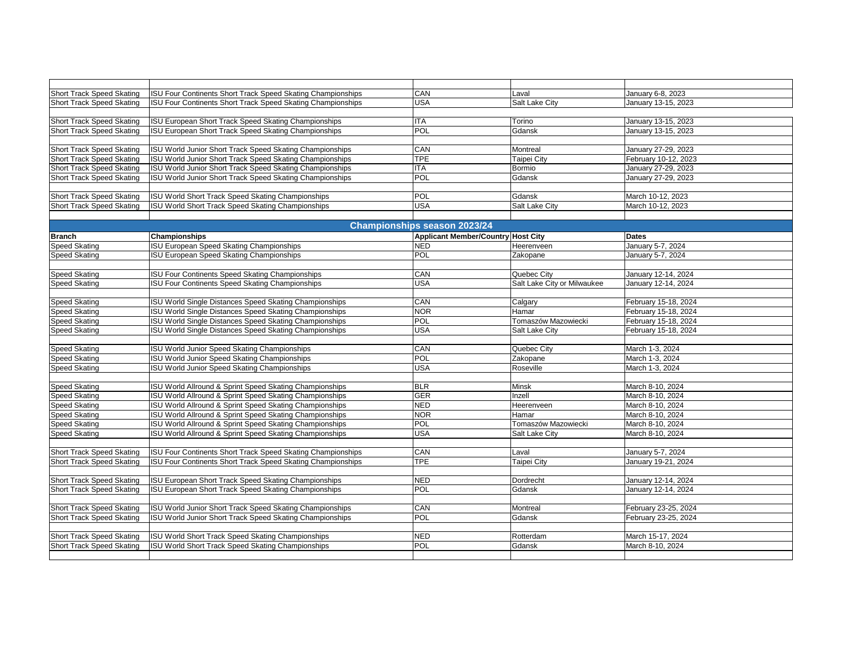| <b>Short Track Speed Skating</b> | ISU Four Continents Short Track Speed Skating Championships        | CAN                                 | Laval                                     | January 6-8, 2023    |
|----------------------------------|--------------------------------------------------------------------|-------------------------------------|-------------------------------------------|----------------------|
| <b>Short Track Speed Skating</b> | ISU Four Continents Short Track Speed Skating Championships        | USA                                 | Salt Lake City                            | January 13-15, 2023  |
|                                  |                                                                    |                                     |                                           |                      |
| <b>Short Track Speed Skating</b> | <b>ISU European Short Track Speed Skating Championships</b>        | <b>ITA</b>                          | Torino                                    | January 13-15, 2023  |
| <b>Short Track Speed Skating</b> | <b>ISU European Short Track Speed Skating Championships</b>        | POL                                 | Gdansk                                    | January 13-15, 2023  |
|                                  |                                                                    |                                     |                                           |                      |
| <b>Short Track Speed Skating</b> | <b>ISU World Junior Short Track Speed Skating Championships</b>    | CAN                                 | Montreal                                  | January 27-29, 2023  |
| <b>Short Track Speed Skating</b> | <b>ISU World Junior Short Track Speed Skating Championships</b>    | <b>TPE</b>                          | Taipei City                               | February 10-12, 2023 |
| <b>Short Track Speed Skating</b> | ISU World Junior Short Track Speed Skating Championships           | <b>ITA</b>                          | Bormio                                    | January 27-29, 2023  |
| <b>Short Track Speed Skating</b> | ISU World Junior Short Track Speed Skating Championships           | POL                                 | Gdansk                                    | January 27-29, 2023  |
|                                  |                                                                    |                                     |                                           |                      |
| <b>Short Track Speed Skating</b> | ISU World Short Track Speed Skating Championships                  | POL                                 | Gdansk                                    | March 10-12, 2023    |
| <b>Short Track Speed Skating</b> | ISU World Short Track Speed Skating Championships                  | <b>USA</b>                          | Salt Lake City                            | March 10-12, 2023    |
|                                  |                                                                    |                                     |                                           |                      |
|                                  |                                                                    | <b>Championships season 2023/24</b> |                                           |                      |
| <b>Branch</b>                    | Championships                                                      |                                     | <b>Applicant Member/Country Host City</b> | <b>Dates</b>         |
| <b>Speed Skating</b>             | SU European Speed Skating Championships                            | <b>NED</b>                          | Heerenveen                                | January 5-7, 2024    |
| <b>Speed Skating</b>             | <b>ISU European Speed Skating Championships</b>                    | POL                                 | Zakopane                                  | January 5-7, 2024    |
|                                  |                                                                    |                                     |                                           |                      |
| <b>Speed Skating</b>             | <b>ISU Four Continents Speed Skating Championships</b>             | CAN                                 | Quebec City                               | January 12-14, 2024  |
| <b>Speed Skating</b>             | ISU Four Continents Speed Skating Championships                    | <b>USA</b>                          | Salt Lake City or Milwaukee               | January 12-14, 2024  |
|                                  |                                                                    |                                     |                                           |                      |
| <b>Speed Skating</b>             | <b>ISU World Single Distances Speed Skating Championships</b>      | CAN                                 | Calgary                                   | February 15-18, 2024 |
| Speed Skating                    | <b>ISU World Single Distances Speed Skating Championships</b>      | <b>NOR</b>                          | Hamar                                     | February 15-18, 2024 |
| Speed Skating                    | ISU World Single Distances Speed Skating Championships             | POL                                 | Tomaszów Mazowiecki                       | February 15-18, 2024 |
| <b>Speed Skating</b>             | <b>ISU World Single Distances Speed Skating Championships</b>      | <b>USA</b>                          | Salt Lake City                            | February 15-18, 2024 |
|                                  |                                                                    |                                     |                                           |                      |
| <b>Speed Skating</b>             | <b>ISU World Junior Speed Skating Championships</b>                | CAN                                 | Quebec City                               | March 1-3, 2024      |
| <b>Speed Skating</b>             | <b>ISU World Junior Speed Skating Championships</b>                | POL                                 | Zakopane                                  | March 1-3, 2024      |
| <b>Speed Skating</b>             | <b>ISU World Junior Speed Skating Championships</b>                | <b>USA</b>                          | Roseville                                 | March 1-3, 2024      |
|                                  |                                                                    |                                     |                                           |                      |
| <b>Speed Skating</b>             | <b>ISU World Allround &amp; Sprint Speed Skating Championships</b> | BLR                                 | Minsk                                     | March 8-10, 2024     |
| <b>Speed Skating</b>             | ISU World Allround & Sprint Speed Skating Championships            | <b>GER</b>                          | Inzell                                    | March 8-10, 2024     |
| <b>Speed Skating</b>             | ISU World Allround & Sprint Speed Skating Championships            | <b>NED</b>                          | Heerenveen                                | March 8-10, 2024     |
| <b>Speed Skating</b>             | ISU World Allround & Sprint Speed Skating Championships            | <b>NOR</b>                          | Hamar                                     | March 8-10, 2024     |
| <b>Speed Skating</b>             | ISU World Allround & Sprint Speed Skating Championships            | <b>POL</b>                          | Tomaszów Mazowiecki                       | March 8-10, 2024     |
| <b>Speed Skating</b>             | ISU World Allround & Sprint Speed Skating Championships            | <b>USA</b>                          | Salt Lake City                            | March 8-10, 2024     |
|                                  |                                                                    |                                     |                                           |                      |
| <b>Short Track Speed Skating</b> | ISU Four Continents Short Track Speed Skating Championships        | CAN                                 | Laval                                     | January 5-7, 2024    |
| <b>Short Track Speed Skating</b> | ISU Four Continents Short Track Speed Skating Championships        | <b>TPE</b>                          | <b>Taipei City</b>                        | January 19-21, 2024  |
|                                  |                                                                    |                                     |                                           |                      |
| <b>Short Track Speed Skating</b> | ISU European Short Track Speed Skating Championships               | <b>NED</b>                          | Dordrecht                                 | January 12-14, 2024  |
| <b>Short Track Speed Skating</b> | ISU European Short Track Speed Skating Championships               | POL                                 | Gdansk                                    | January 12-14, 2024  |
|                                  |                                                                    |                                     |                                           |                      |
| <b>Short Track Speed Skating</b> | ISU World Junior Short Track Speed Skating Championships           | CAN                                 | Montreal                                  | February 23-25, 2024 |
| Short Track Speed Skating        | ISU World Junior Short Track Speed Skating Championships           | POL                                 | Gdansk                                    | February 23-25, 2024 |
|                                  |                                                                    |                                     |                                           |                      |
| Short Track Speed Skating        | <b>ISU World Short Track Speed Skating Championships</b>           | <b>NED</b>                          | Rotterdam                                 | March 15-17, 2024    |
| <b>Short Track Speed Skating</b> | <b>ISU World Short Track Speed Skating Championships</b>           | POL                                 | Gdansk                                    | March 8-10, 2024     |
|                                  |                                                                    |                                     |                                           |                      |